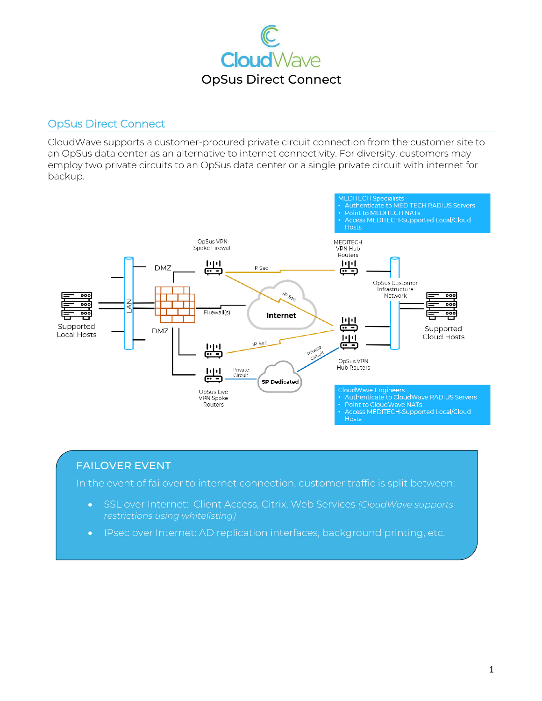

## OpSus Direct Connect

CloudWave supports a customer-procured private circuit connection from the customer site to an OpSus data center as an alternative to internet connectivity. For diversity, customers may employ two private circuits to an OpSus data center or a single private circuit with internet for backup.



## FAILOVER EVENT

In the event of failover to internet connection, customer traffic is split between:

- SSL over Internet: Client Access, Citrix, Web Services *(CloudWave supports*
- IPsec over Internet: AD replication interfaces, background printing, etc.